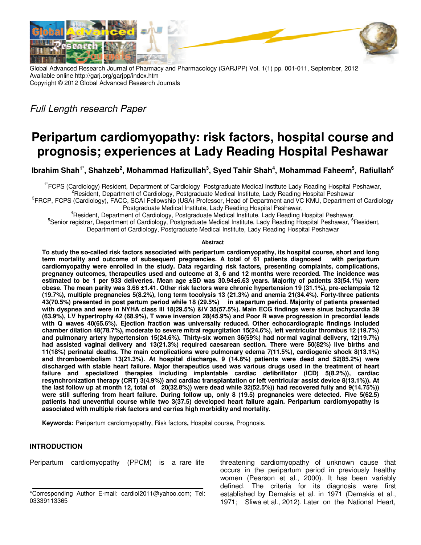

Global Advanced Research Journal of Pharmacy and Pharmacology (GARJPP) Vol. 1(1) pp. 001-011, September, 2012 Available online http://garj.org/garjpp/index.htm Copyright © 2012 Global Advanced Research Journals

Full Length research Paper

# **Peripartum cardiomyopathy: risk factors, hospital course and prognosis; experiences at Lady Reading Hospital Peshawar**

**Ibrahim Shah1\*, Shahzeb<sup>2</sup> , Mohammad Hafizullah<sup>3</sup> , Syed Tahir Shah<sup>4</sup> , Mohammad Faheem<sup>5</sup> , Rafiullah<sup>6</sup>**

1\*FCPS (Cardiology) Resident, Department of Cardiology Postgraduate Medical Institute Lady Reading Hospital Peshawar, Resident, Department of Cardiology, Postgraduate Medical Institute, Lady Reading Hospital Peshawar

<sup>3</sup> FRCP, FCPS (Cardiology), FACC, SCAI Fellowship (USA) Professor, Head of Department and VC KMU, Department of Cardiology Postgraduate Medical Institute, Lady Reading Hospital Peshawar,

<sup>4</sup>Resident, Department of Cardiology, Postgraduate Medical Institute, Lady Reading Hospital Peshawar, <sup>5</sup>Senior registrar, Department of Cardiology, Postgraduate Medical Institute, Lady Reading Hospital Peshawar, <sup>6</sup>Resident, Department of Cardiology, Postgraduate Medical Institute, Lady Reading Hospital Peshawar

#### **Abstract**

**To study the so-called risk factors associated with peripartum cardiomyopathy, its hospital course, short and long term mortality and outcome of subsequent pregnancies. A total of 61 patients diagnosed with peripartum cardiomyopathy were enrolled in the study. Data regarding risk factors, presenting complaints, complications, pregnancy outcomes, therapeutics used and outcome at 3, 6 and 12 months were recorded. The incidence was estimated to be 1 per 933 deliveries. Mean age ±SD was 30.94±6.63 years. Majority of patients 33(54.1%) were obese. The mean parity was 3.66 ±1.41. Other risk factors were chronic hypertension 19 (31.1%), pre-eclampsia 12 (19.7%), multiple pregnancies 5(8.2%), long term tocolysis 13 (21.3%) and anemia 21(34.4%). Forty-three patients 43(70.5%) presented in post partum period while 18 (29.5%) in atepartum period. Majority of patients presented with dyspnea and were in NYHA class ІІІ 18(29.5%) &IV 35(57.5%). Main ECG findings were sinus tachycardia 39 (63.9%), LV hypertrophy 42 (68.9%), T wave inversion 28(45.9%) and Poor R wave progression in precordial leads with Q waves 40(65.6%). Ejection fraction was universally reduced. Other echocardiograpic findings included chamber dilation 48(78.7%), moderate to severe mitral regurgitation 15(24.6%), left ventricular thrombus 12 (19.7%) and pulmonary artery hypertension 15(24.6%). Thirty-six women 36(59%) had normal vaginal delivery, 12(19.7%) had assisted vaginal delivery and 13(21.3%) required caesarean section. There were 50(82%) live births and 11(18%) perinatal deaths. The main complications were pulmonary edema 7(11.5%), cardiogenic shock 8(13.1%) and thromboembolism 13(21.3%). At hospital discharge, 9 (14.8%) patients were dead and 52(85.2%) were discharged with stable heart failure. Major therapeutics used was various drugs used in the treatment of heart failure and specialized therapies including implantable cardiac defibrillator (ICD) 5(8.2%)), cardiac resynchronization therapy (CRT) 3(4.9%)) and cardiac transplantation or left ventricular assist device 8(13.1%)). At the last follow up at month 12, total of 20(32.8%)) were dead while 32(52.5%)) had recovered fully and 9(14.75%)) were still suffering from heart failure. During follow up, only 8 (19.5) pregnancies were detected. Five 5(62.5) patients had uneventful course while two 3(37.5) developed heart failure again. Peripartum cardiomyopathy is associated with multiple risk factors and carries high morbidity and mortality.** 

**Keywords:** Peripartum cardiomyopathy, Risk factors**,** Hospital course, Prognosis.

# **INTRODUCTION**

Peripartum cardiomyopathy (PPCM) is a rare life

threatening cardiomyopathy of unknown cause that occurs in the peripartum period in previously healthy women (Pearson et al., 2000). It has been variably defined. The criteria for its diagnosis were first established by Demakis et al. in 1971 (Demakis et al., 1971; Sliwa et al., 2012). Later on the National Heart,

<sup>\*</sup>Corresponding Author E-mail: cardiol2011@yahoo.com; Tel: 03339113365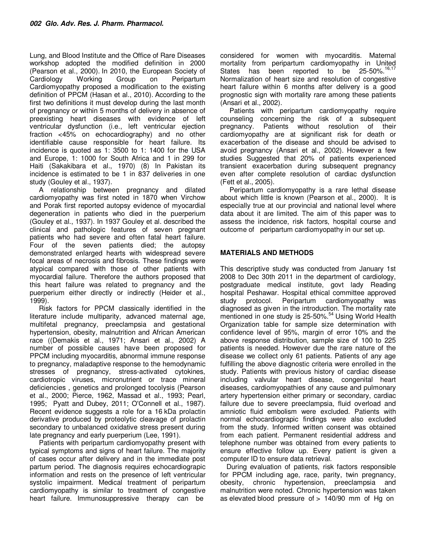Lung, and Blood Institute and the Office of Rare Diseases workshop adopted the modified definition in 2000 (Pearson et al., 2000). In 2010, the European Society of Cardiology Working Group on Peripartum Cardiomyopathy proposed a modification to the existing definition of PPCM (Hasan et al., 2010). According to the first two definitions it must develop during the last month of pregnancy or within 5 months of delivery in absence of preexisting heart diseases with evidence of left ventricular dysfunction (i.e., left ventricular ejection fraction <45% on echocardiography) and no other identifiable cause responsible for heart failure. Its incidence is quoted as 1: 3500 to 1: 1400 for the USA and Europe, 1: 1000 for South Africa and 1 in 299 for Haiti (Sakakibara et al., 1970) (8) In Pakistan its incidence is estimated to be 1 in 837 deliveries in one study (Gouley et al., 1937).

A relationship between pregnancy and dilated cardiomyopathy was first noted in 1870 when Virchow and Porak first reported autopsy evidence of myocardial degeneration in patients who died in the puerperium (Gouley et al., 1937). In 1937 Gouley et al. described the clinical and pathologic features of seven pregnant patients who had severe and often fatal heart failure. Four of the seven patients died; the autopsy demonstrated enlarged hearts with widespread severe focal areas of necrosis and fibrosis. These findings were atypical compared with those of other patients with myocardial failure. Therefore the authors proposed that this heart failure was related to pregnancy and the puerperium either directly or indirectly (Heider et al., 1999).

Risk factors for PPCM classically identified in the literature include multiparity, advanced maternal age, multifetal pregnancy, preeclampsia and gestational hypertension, obesity, malnutrition and African American race ((Demakis et al., 1971; Ansari et al., 2002) A number of possible causes have been proposed for PPCM including myocarditis, abnormal immune response to pregnancy, maladaptive response to the hemodynamic stresses of pregnancy, stress-activated cytokines, cardiotropic viruses, micronutrient or trace mineral deficiencies , genetics and prolonged tocolysis (Pearson et al., 2000; Pierce, 1962, Massad et al., 1993; Pearl, 1995; Pyatt and Dubey, 2011; O'Connell et al., 1987). Recent evidence suggests a role for a 16 kDa prolactin derivative produced by proteolytic cleavage of prolactin secondary to unbalanced oxidative stress present during late pregnancy and early puerperium (Lee, 1991).

Patients with peripartum cardiomyopathy present with typical symptoms and signs of heart failure. The majority of cases occur after delivery and in the immediate post partum period. The diagnosis requires echocardiograpic information and rests on the presence of left ventricular systolic impairment. Medical treatment of peripartum cardiomyopathy is similar to treatment of congestive heart failure. Immunosuppressive therapy can be

considered for women with myocarditis. Maternal mortality from peripartum cardiomyopathy in United States has been reported to be  $25-50\%$ .<sup>16,17</sup> Normalization of heart size and resolution of congestive heart failure within 6 months after delivery is a good prognostic sign with mortality rare among these patients (Ansari et al., 2002).

Patients with peripartum cardiomyopathy require counseling concerning the risk of a subsequent pregnancy. Patients without resolution of their cardiomyopathy are at significant risk for death or exacerbation of the disease and should be advised to avoid pregnancy (Ansari et al., 2002). However a few studies Suggested that 20% of patients experienced transient exacerbation during subsequent pregnancy even after complete resolution of cardiac dysfunction (Fett et al., 2005).

Peripartum cardiomyopathy is a rare lethal disease about which little is known (Pearson et al., 2000). It is especially true at our provincial and national level where data about it are limited. The aim of this paper was to assess the incidence, risk factors, hospital course and outcome of peripartum cardiomyopathy in our set up.

# **MATERIALS AND METHODS**

This descriptive study was conducted from January 1st 2008 to Dec 30th 2011 in the department of cardiology, postgraduate medical institute, govt lady Reading hospital Peshawar. Hospital ethical committee approved study protocol. Peripartum cardiomyopathy was diagnosed as given in the introduction. The mortality rate mentioned in one study is 25-50%.<sup>54</sup> Using World Health Organization table for sample size determination with confidence level of 95%, margin of error 10% and the above response distribution, sample size of 100 to 225 patients is needed. However due the rare nature of the disease we collect only 61 patients. Patients of any age fulfilling the above diagnostic criteria were enrolled in the study. Patients with previous history of cardiac disease including valvular heart disease, congenital heart diseases, cardiomyopathies of any cause and pulmonary artery hypertension either primary or secondary, cardiac failure due to severe preeclampsia, fluid overload and amniotic fluid embolism were excluded. Patients with normal echocardiograpic findings were also excluded from the study. Informed written consent was obtained from each patient. Permanent residential address and telephone number was obtained from every patients to ensure effective follow up. Every patient is given a computer ID to ensure data retrieval.

During evaluation of patients, risk factors responsible for PPCM including age, race, parity, twin pregnancy, obesity, chronic hypertension, preeclampsia and malnutrition were noted. Chronic hypertension was taken as elevated blood pressure of > 140/90 mm of Hg on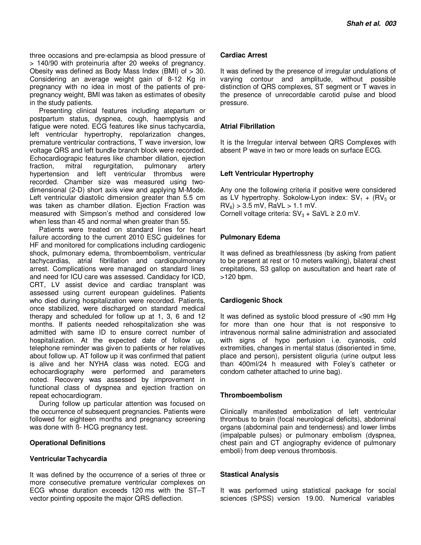three occasions and pre-eclampsia as blood pressure of > 140/90 with proteinuria after 20 weeks of pregnancy. Obesity was defined as Body Mass Index (BMI) of > 30. Considering an average weight gain of 8-12 Kg in pregnancy with no idea in most of the patients of prepregnancy weight, BMI was taken as estimates of obesity in the study patients.

Presenting clinical features including atepartum or postpartum status, dyspnea, cough, haemptysis and fatigue were noted. ECG features like sinus tachycardia, left ventricular hypertrophy, repolarization changes, premature ventricular contractions, T wave inversion, low voltage QRS and left bundle branch block were recorded. Echocardiograpic features like chamber dilation, ejection<br>fraction, mitral regurgitation, pulmonary artery fraction, mitral regurgitation, pulmonary artery hypertension and left ventricular thrombus were recorded. Chamber size was measured using twodimensional (2-D) short axis view and applying M-Mode. Left ventricular diastolic dimension greater than 5.5 cm was taken as chamber dilation. Ejection Fraction was measured with Simpson's method and considered low when less than 45 and normal when greater than 55.

Patients were treated on standard lines for heart failure according to the current 2010 ESC guidelines for HF and monitored for complications including cardiogenic shock, pulmonary edema, thromboembolism, ventricular tachycardias, atrial fibrillation and cardiopulmonary arrest. Complications were managed on standard lines and need for ICU care was assessed. Candidacy for ICD, CRT, LV assist device and cardiac transplant was assessed using current european guidelines. Patients who died during hospitalization were recorded. Patients, once stabilized, were discharged on standard medical therapy and scheduled for follow up at 1, 3, 6 and 12 months. If patients needed rehospitalization she was admitted with same ID to ensure correct number of hospitalization. At the expected date of follow up, telephone reminder was given to patients or her relatives about follow up. AT follow up it was confirmed that patient is alive and her NYHA class was noted. ECG and echocardiography were performed and parameters noted. Recovery was assessed by improvement in functional class of dyspnea and ejection fraction on repeat echocardiogram.

During follow up particular attention was focused on the occurrence of subsequent pregnancies. Patients were followed for eighteen months and pregnancy screening was done with ß- HCG pregnancy test.

#### **Operational Definitions**

# **Ventricular Tachycardia**

It was defined by the occurrence of a series of three or more consecutive premature ventricular complexes on ECG whose duration exceeds 120 ms with the ST–T vector pointing opposite the major QRS deflection.

#### **Cardiac Arrest**

It was defined by the presence of irregular undulations of varying contour and amplitude, without possible distinction of QRS complexes, ST segment or T waves in the presence of unrecordable carotid pulse and blood pressure.

# **Atrial Fibrillation**

It is the Irregular interval between QRS Complexes with absent P wave in two or more leads on surface ECG.

# **Left Ventricular Hypertrophy**

Any one the following criteria if positive were considered as LV hypertrophy. Sokolow-Lyon index:  $SV_1 + (RV_5)$  or  $RV_6$ ) > 3.5 mV, RaVL > 1.1 mV. Cornell voltage criteria:  $SV_3 + SaVL \geq 2.0$  mV.

# **Pulmonary Edema**

It was defined as breathlessness (by asking from patient to be present at rest or 10 meters walking), bilateral chest crepitations, S3 gallop on auscultation and heart rate of >120 bpm.

# **Cardiogenic Shock**

It was defined as systolic blood pressure of <90 mm Hg for more than one hour that is not responsive to intravenous normal saline administration and associated with signs of hypo perfusion i.e. cyanosis, cold extremities, changes in mental status (disoriented in time, place and person), persistent oliguria (urine output less than 400ml/24 h measured with Foley's catheter or condom catheter attached to urine bag).

# **Thromboembolism**

Clinically manifested embolization of left ventricular thrombus to brain (focal neurological deficits), abdominal organs (abdominal pain and tenderness) and lower limbs (impalpable pulses) or pulmonary embolism (dyspnea, chest pain and CT angiography evidence of pulmonary emboli) from deep venous thrombosis.

# **Stastical Analysis**

It was performed using statistical package for social sciences (SPSS) version 19.00. Numerical variables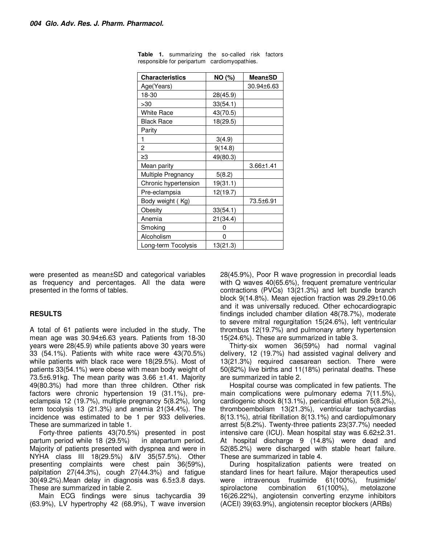| <b>Characteristics</b> | NO (%)   | <b>Mean±SD</b>   |
|------------------------|----------|------------------|
| Age(Years)             |          | $30.94 \pm 6.63$ |
| 18-30                  | 28(45.9) |                  |
| >30                    | 33(54.1) |                  |
| <b>White Race</b>      | 43(70.5) |                  |
| <b>Black Race</b>      | 18(29.5) |                  |
| Parity                 |          |                  |
| 1                      | 3(4.9)   |                  |
| 2                      | 9(14.8)  |                  |
| ≥3                     | 49(80.3) |                  |
| Mean parity            |          | 3.66±1.41        |
| Multiple Pregnancy     | 5(8.2)   |                  |
| Chronic hypertension   | 19(31.1) |                  |
| Pre-eclampsia          | 12(19.7) |                  |
| Body weight (Kg)       |          | 73.5±6.91        |
| Obesity                | 33(54.1) |                  |
| Anemia                 | 21(34.4) |                  |
| Smoking                | 0        |                  |
| Alcoholism             | 0        |                  |
| Long-term Tocolysis    | 13(21.3) |                  |

**Table 1.** summarizing the so-called risk factors responsible for peripartum cardiomyopathies.

were presented as mean±SD and categorical variables as frequency and percentages. All the data were presented in the forms of tables.

# **RESULTS**

A total of 61 patients were included in the study. The mean age was 30.94±6.63 years. Patients from 18-30 years were 28(45.9) while patients above 30 years were 33 (54.1%). Patients with white race were 43(70.5%) while patients with black race were 18(29.5%). Most of patients 33(54.1%) were obese with mean body weight of 73.5±6.91kg. The mean parity was 3.66 ±1.41. Majority 49(80.3%) had more than three children. Other risk factors were chronic hypertension 19 (31.1%), preeclampsia 12 (19.7%), multiple pregnancy 5(8.2%), long term tocolysis 13 (21.3%) and anemia 21(34.4%). The incidence was estimated to be 1 per 933 deliveries. These are summarized in table 1.

Forty-three patients 43(70.5%) presented in post partum period while 18 (29.5%) in atepartum period. Majority of patients presented with dyspnea and were in NYHA class ІІІ 18(29.5%) &IV 35(57.5%). Other presenting complaints were chest pain 36(59%), palpitation 27(44.3%), cough 27(44.3%) and fatigue 30(49.2%).Mean delay in diagnosis was 6.5±3.8 days. These are summarized in table 2.

Main ECG findings were sinus tachycardia 39 (63.9%), LV hypertrophy 42 (68.9%), T wave inversion

28(45.9%), Poor R wave progression in precordial leads with Q waves 40(65.6%), frequent premature ventricular contractions (PVCs) 13(21.3%) and left bundle branch block 9(14.8%). Mean ejection fraction was 29.29±10.06 and it was universally reduced. Other echocardiograpic findings included chamber dilation 48(78.7%), moderate to severe mitral regurgitation 15(24.6%), left ventricular thrombus 12(19.7%) and pulmonary artery hypertension 15(24.6%). These are summarized in table 3.

Thirty-six women 36(59%) had normal vaginal delivery, 12 (19.7%) had assisted vaginal delivery and 13(21.3%) required caesarean section. There were 50(82%) live births and 11(18%) perinatal deaths. These are summarized in table 2.

Hospital course was complicated in few patients. The main complications were pulmonary edema 7(11.5%), cardiogenic shock 8(13.1%), pericardial effusion 5(8.2%), thromboembolism 13(21.3%), ventricular tachycardias 8(13.1%), atrial fibrillation 8(13.1%) and cardiopulmonary arrest 5(8.2%). Twenty-three patients 23(37.7%) needed intensive care (ICU). Mean hospital stay was 6.62±2.31. At hospital discharge 9 (14.8%) were dead and 52(85.2%) were discharged with stable heart failure. These are summarized in table 4.

During hospitalization patients were treated on standard lines for heart failure. Major therapeutics used were intravenous frusimide 61(100%), frusimide/ spirolactone combination 61(100%), metolazone 16(26.22%), angiotensin converting enzyme inhibitors (ACEI) 39(63.9%), angiotensin receptor blockers (ARBs)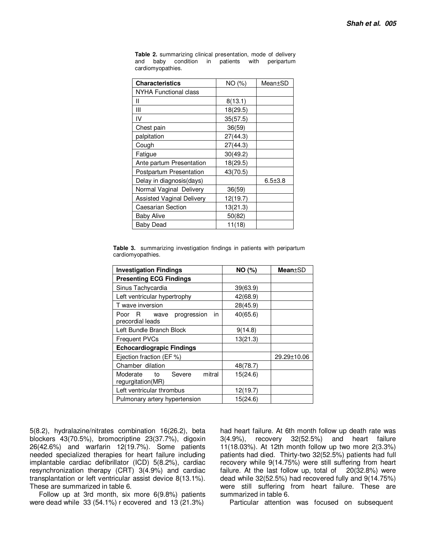| <b>Characteristics</b>           | NO (%)   | Mean±SD       |
|----------------------------------|----------|---------------|
| NYHA Functional class            |          |               |
| Ш                                | 8(13.1)  |               |
| Ш                                | 18(29.5) |               |
| IV                               | 35(57.5) |               |
| Chest pain                       | 36(59)   |               |
| palpitation                      | 27(44.3) |               |
| Cough                            | 27(44.3) |               |
| Fatigue                          | 30(49.2) |               |
| Ante partum Presentation         | 18(29.5) |               |
| Postpartum Presentation          | 43(70.5) |               |
| Delay in diagnosis(days)         |          | $6.5 \pm 3.8$ |
| Normal Vaginal Delivery          | 36(59)   |               |
| <b>Assisted Vaginal Delivery</b> | 12(19.7) |               |
| <b>Caesarian Section</b>         | 13(21.3) |               |
| Baby Alive                       | 50(82)   |               |
| <b>Baby Dead</b>                 | 11(18)   |               |

**Table 2.** summarizing clinical presentation, mode of delivery and baby condition in patients with peripartum cardiomyopathies.

**Table 3.** summarizing investigation findings in patients with peripartum cardiomyopathies.

| <b>Investigation Findings</b>                                | NO(%)    | <b>Mean</b> ±SD |
|--------------------------------------------------------------|----------|-----------------|
| <b>Presenting ECG Findings</b>                               |          |                 |
| Sinus Tachycardia                                            | 39(63.9) |                 |
| Left ventricular hypertrophy                                 | 42(68.9) |                 |
| T wave inversion                                             | 28(45.9) |                 |
| in<br>- R<br>progression<br>Poor<br>wave<br>precordial leads | 40(65.6) |                 |
| Left Bundle Branch Block                                     | 9(14.8)  |                 |
| <b>Frequent PVCs</b>                                         | 13(21.3) |                 |
| <b>Echocardiograpic Findings</b>                             |          |                 |
| Ejection fraction (EF %)                                     |          | 29.29±10.06     |
| Chamber dilation                                             | 48(78.7) |                 |
| mitral<br>Moderate<br>Severe<br>to<br>regurgitation(MR)      | 15(24.6) |                 |
| Left ventricular thrombus                                    | 12(19.7) |                 |
| Pulmonary artery hypertension                                | 15(24.6) |                 |

5(8.2), hydralazine/nitrates combination 16(26.2), beta blockers 43(70.5%), bromocriptine 23(37.7%), digoxin 26(42.6%) and warfarin 12(19.7%). Some patients needed specialized therapies for heart failure including implantable cardiac defibrillator (ICD) 5(8.2%), cardiac resynchronization therapy (CRT) 3(4.9%) and cardiac transplantation or left ventricular assist device 8(13.1%). These are summarized in table 6.

Follow up at 3rd month, six more 6(9.8%) patients were dead while 33 (54.1%) r ecovered and 13 (21.3%)

had heart failure. At 6th month follow up death rate was 3(4.9%), recovery 32(52.5%) and heart failure 11(18.03%). At 12th month follow up two more 2(3.3%) patients had died. Thirty-two 32(52.5%) patients had full recovery while 9(14.75%) were still suffering from heart failure. At the last follow up, total of 20(32.8%) were dead while 32(52.5%) had recovered fully and 9(14.75%) were still suffering from heart failure. These are summarized in table 6.

Particular attention was focused on subsequent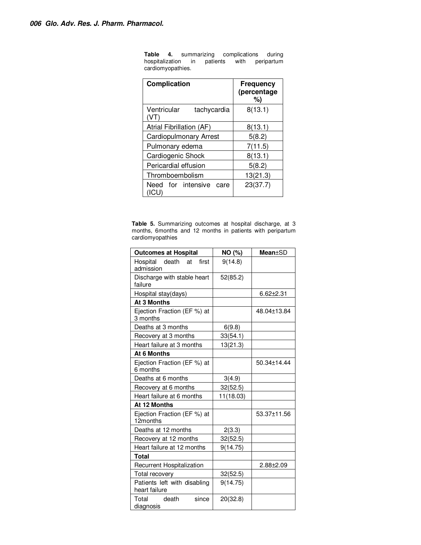| <b>Complication</b>                 | <b>Frequency</b><br>(percentage<br>%) |
|-------------------------------------|---------------------------------------|
| Ventricular<br>tachycardia          | 8(13.1)                               |
| Atrial Fibrillation (AF)            | 8(13.1)                               |
| <b>Cardiopulmonary Arrest</b>       | 5(8.2)                                |
| Pulmonary edema                     | 7(11.5)                               |
| Cardiogenic Shock                   | 8(13.1)                               |
| Pericardial effusion                | 5(8.2)                                |
| Thromboembolism                     | 13(21.3)                              |
| Need for intensive<br>care<br>(ICU) | 23(37.7)                              |

**Table 4.** summarizing complications during hospitalization in patients with peripartum hospitalization in cardiomyopathies.

**Table 5.** Summarizing outcomes at hospital discharge, at 3 months, 6months and 12 months in patients with peripartum cardiomyopathies

| <b>Outcomes at Hospital</b>                   | NO (%)    | <b>Mean</b> ±SD |
|-----------------------------------------------|-----------|-----------------|
| death<br>first<br>Hospital<br>at<br>admission | 9(14.8)   |                 |
| Discharge with stable heart<br>failure        | 52(85.2)  |                 |
| Hospital stay(days)                           |           | $6.62 \pm 2.31$ |
| <b>At 3 Months</b>                            |           |                 |
| Ejection Fraction (EF %) at<br>3 months       |           | 48.04±13.84     |
| Deaths at 3 months                            | 6(9.8)    |                 |
| Recovery at 3 months                          | 33(54.1)  |                 |
| Heart failure at 3 months                     | 13(21.3)  |                 |
| At 6 Months                                   |           |                 |
| Ejection Fraction (EF %) at<br>6 months       |           | 50.34±14.44     |
| Deaths at 6 months                            | 3(4.9)    |                 |
| Recovery at 6 months                          | 32(52.5)  |                 |
| Heart failure at 6 months                     | 11(18.03) |                 |
| At 12 Months                                  |           |                 |
| Ejection Fraction (EF %) at<br>12months       |           | 53.37±11.56     |
| Deaths at 12 months                           | 2(3.3)    |                 |
| Recovery at 12 months                         | 32(52.5)  |                 |
| Heart failure at 12 months                    | 9(14.75)  |                 |
| <b>Total</b>                                  |           |                 |
| Recurrent Hospitalization                     |           | $2.88 \pm 2.09$ |
| Total recovery                                | 32(52.5)  |                 |
| Patients left with disabling<br>heart failure | 9(14.75)  |                 |
| Total death<br>since<br>diagnosis             | 20(32.8)  |                 |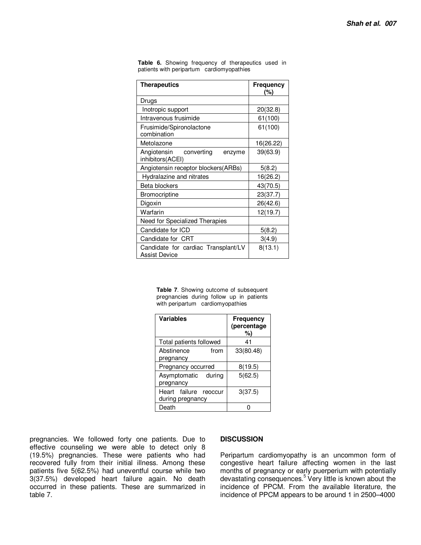| <b>Therapeutics</b>                                  | <b>Frequency</b><br>(%) |
|------------------------------------------------------|-------------------------|
| Drugs                                                |                         |
| Inotropic support                                    | 20(32.8)                |
| Intravenous frusimide                                | 61(100)                 |
| Frusimide/Spironolactone<br>combination              | 61(100)                 |
| Metolazone                                           | 16(26.22)               |
| Angiotensin converting<br>enzyme<br>inhibitors(ACEI) | 39(63.9)                |
| Angiotensin receptor blockers(ARBs)                  | 5(8.2)                  |
| Hydralazine and nitrates                             | 16(26.2)                |
| Beta blockers                                        | 43(70.5)                |
| Bromocriptine                                        | 23(37.7)                |
| Digoxin                                              | 26(42.6)                |
| Warfarin                                             | 12(19.7)                |
| Need for Specialized Therapies                       |                         |
| Candidate for ICD                                    | 5(8.2)                  |
| Candidate for CRT                                    | 3(4.9)                  |
| Candidate for cardiac Transplant/LV<br>Assist Device | 8(13.1)                 |

**Table 6.** Showing frequency of therapeutics used in patients with peripartum cardiomyopathies

> **Table 7**. Showing outcome of subsequent pregnancies during follow up in patients with peripartum cardiomyopathies

| <b>Variables</b>                          | Frequency<br>(percentage<br>%) |
|-------------------------------------------|--------------------------------|
| Total patients followed                   | 41                             |
| Abstinence<br>from<br>pregnancy           | 33(80.48)                      |
| Pregnancy occurred                        | 8(19.5)                        |
| Asymptomatic<br>during<br>pregnancy       | 5(62.5)                        |
| Heart failure reoccur<br>during pregnancy | 3(37.5)                        |
| Death                                     |                                |

pregnancies. We followed forty one patients. Due to effective counseling we were able to detect only 8 (19.5%) pregnancies. These were patients who had recovered fully from their initial illness. Among these patients five 5(62.5%) had uneventful course while two 3(37.5%) developed heart failure again. No death occurred in these patients. These are summarized in table 7.

#### **DISCUSSION**

Peripartum cardiomyopathy is an uncommon form of congestive heart failure affecting women in the last months of pregnancy or early puerperium with potentially devastating consequences.<sup>5</sup> Very little is known about the incidence of PPCM. From the available literature, the incidence of PPCM appears to be around 1 in 2500–4000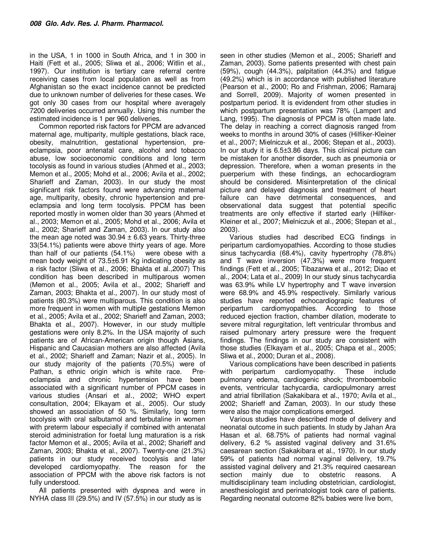in the USA, 1 in 1000 in South Africa, and 1 in 300 in Haiti (Fett et al., 2005; Sliwa et al., 2006; Witlin et al., 1997). Our institution is tertiary care referral centre receiving cases from local population as well as from Afghanistan so the exact incidence cannot be predicted due to unknown number of deliveries for these cases. We got only 30 cases from our hospital where averagely 7200 deliveries occurred annually. Using this number the estimated incidence is 1 per 960 deliveries.

Common reported risk factors for PPCM are advanced maternal age, multiparity, multiple gestations, black race, obesity, malnutrition, gestational hypertension, preeclampsia, poor antenatal care, alcohol and tobacco abuse, low socioeconomic conditions and long term tocolysis as found in various studies (Ahmed et al., 2003; Memon et al., 2005; Mohd et al., 2006; Avila et al., 2002; Sharieff and Zaman, 2003). In our study the most significant risk factors found were advancing maternal age, multiparity, obesity, chronic hypertension and preeclampsia and long term tocolysis. PPCM has been reported mostly in women older than 30 years (Ahmed et al., 2003; Memon et al., 2005; Mohd et al., 2006; Avila et al., 2002; Sharieff and Zaman, 2003). In our study also the mean age noted was  $30.94 \pm 6.63$  years. Thirty-three 33(54.1%) patients were above thirty years of age. More than half of our patients (54.1%) were obese with a mean body weight of 73.5±6.91 Kg indicating obesity as a risk factor (Sliwa et al., 2006; Bhakta et al.,2007) This condition has been described in multiparous women (Memon et al., 2005; Avila et al., 2002; Sharieff and Zaman, 2003; Bhakta et al., 2007). In our study most of patients (80.3%) were multiparous. This condition is also more frequent in women with multiple gestations Memon et al., 2005; Avila et al., 2002; Sharieff and Zaman, 2003; Bhakta et al., 2007). However, in our study multiple gestations were only 8.2%. In the USA majority of such patients are of African-American origin though Asians, Hispanic and Caucasian mothers are also affected (Avila et al., 2002; Sharieff and Zaman; Nazir et al., 2005). In our study majority of the patients (70.5%) were of Pathan, s ethnic origin which is white race. Preeclampsia and chronic hypertension have been associated with a significant number of PPCM cases in various studies (Ansari et al., 2002; WHO expert consultation, 2004; Elkayam et al., 2005). Our study showed an association of 50 %. Similarly, long term tocolysis with oral salbutamol and terbutaline in women with preterm labour especially if combined with antenatal steroid administration for foetal lung maturation is a risk factor Memon et al., 2005; Avila et al., 2002; Sharieff and Zaman, 2003; Bhakta et al., 2007). Twenty-one (21.3%) patients in our study received tocolysis and later developed cardiomyopathy. The reason for the association of PPCM with the above risk factors is not fully understood.

All patients presented with dyspnea and were in NYHA class III (29.5%) and IV (57.5%) in our study as is

seen in other studies (Memon et al., 2005; Sharieff and Zaman, 2003). Some patients presented with chest pain (59%), cough (44.3%), palpitation (44.3%) and fatigue (49.2%) which is in accordance with published literature (Pearson et al., 2000; Ro and Frishman, 2006; Ramaraj and Sorrell, 2009). Majority of women presented in postpartum period. It is evidendent from other studies in which postpartum presentation was 78% (Lampert and Lang, 1995). The diagnosis of PPCM is often made late. The delay in reaching a correct diagnosis ranged from weeks to months in around 30% of cases (Hilfiker-Kleiner et al., 2007; Mielniczuk et al., 2006; Stepan et al., 2003). In our study it is 6.5±3.86 days. This clinical picture can be mistaken for another disorder, such as pneumonia or depression. Therefore, when a woman presents in the puerperium with these findings, an echocardiogram should be considered. Misinterpretation of the clinical picture and delayed diagnosis and treatment of heart failure can have detrimental consequences, and observational data suggest that potential specific treatments are only effective if started early (Hilfiker-Kleiner et al., 2007; Mielniczuk et al., 2006; Stepan et al., 2003).

Various studies had described ECG findings in peripartum cardiomyopathies. According to those studies sinus tachycardia (68.4%), cavity hypertrophy (78.8%) and T wave inversion (47.3%) were more frequent findings (Fett et al., 2005; Tibazarwa et al., 2012; Diao et al., 2004; Lata et al., 2009) In our study sinus tachycardia was 63.9% while LV hypertrophy and T wave inversion were 68.9% and 45.9% respectively. Similarly various studies have reported echocardiograpic features of peripartum cardiomyopathies. According to those reduced ejection fraction, chamber dilation, moderate to severe mitral regurgitation, left ventricular thrombus and raised pulmonary artery pressure were the frequent findings. The findings in our study are consistent with those studies (Elkayam et al., 2005; Chapa et al., 2005; Sliwa et al., 2000; Duran et al., 2008).

Various complications have been described in patients with peripartum cardiomyopathy. These include pulmonary edema, cardiogenic shock; thromboembolic events, ventricular tachycardia, cardiopulmonary arrest and atrial fibrillation (Sakakibara et al., 1970; Avila et al., 2002; Sharieff and Zaman, 2003). In our study these were also the major complications emerged.

Various studies have described mode of delivery and neonatal outcome in such patients. In study by Jahan Ara Hasan et al. 68.75% of patients had normal vaginal delivery, 6.2 % assisted vaginal delivery and 31.6% caesarean section (Sakakibara et al., 1970). In our study 59% of patients had normal vaginal delivery, 19.7% assisted vaginal delivery and 21.3% required caesarean section mainly due to obstetric reasons. A multidisciplinary team including obstetrician, cardiologist, anesthesiologist and perinatologist took care of patients. Regarding neonatal outcome 82% babies were live born,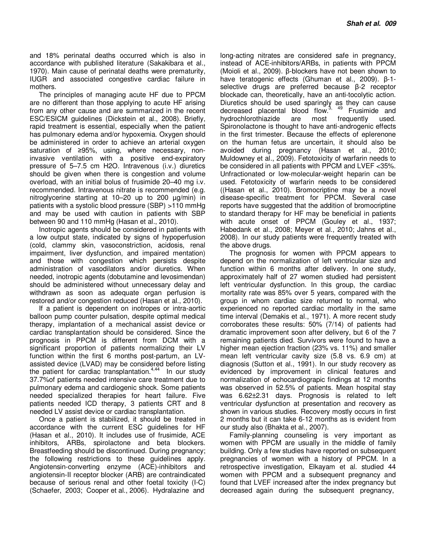and 18% perinatal deaths occurred which is also in accordance with published literature (Sakakibara et al., 1970). Main cause of perinatal deaths were prematurity, IUGR and associated congestive cardiac failure in mothers.

The principles of managing acute HF due to PPCM are no different than those applying to acute HF arising from any other cause and are summarized in the recent ESC/ESICM guidelines (Dickstein et al., 2008). Briefly, rapid treatment is essential, especially when the patient has pulmonary edema and/or hypoxemia. Oxygen should be administered in order to achieve an arterial oxygen saturation of ≥95%, using, where necessary, noninvasive ventilation with a positive end-expiratory pressure of 5–7.5 cm H2O. Intravenous (i.v.) diuretics should be given when there is congestion and volume overload, with an initial bolus of frusimide 20–40 mg i.v. recommended. Intravenous nitrate is recommended (e.g. nitroglycerine starting at 10–20 up to 200 ug/min) in patients with a systolic blood pressure (SBP) >110 mmHg and may be used with caution in patients with SBP between 90 and 110 mmHg (Hasan et al., 2010).

Inotropic agents should be considered in patients with a low output state, indicated by signs of hypoperfusion (cold, clammy skin, vasoconstriction, acidosis, renal impairment, liver dysfunction, and impaired mentation) and those with congestion which persists despite administration of vasodilators and/or diuretics. When needed, inotropic agents (dobutamine and levosimendan) should be administered without unnecessary delay and withdrawn as soon as adequate organ perfusion is restored and/or congestion reduced (Hasan et al., 2010).

If a patient is dependent on inotropes or intra-aortic balloon pump counter pulsation, despite optimal medical therapy, implantation of a mechanical assist device or cardiac transplantation should be considered. Since the prognosis in PPCM is different from DCM with a significant proportion of patients normalizing their LV function within the first 6 months post-partum, an LVassisted device (LVAD) may be considered before listing the patient for cardiac transplantation.<sup>4,44</sup> In our study 37.7%of patients needed intensive care treatment due to pulmonary edema and cardiogenic shock. Some patients needed specialized therapies for heart failure. Five patients needed ICD therapy, 3 patients CRT and 8 needed LV assist device or cardiac transplantation.

Once a patient is stabilized, it should be treated in accordance with the current ESC guidelines for HF (Hasan et al., 2010). It includes use of frusimide, ACE inhibitors, ARBs, spirolactone and beta blockers. Breastfeeding should be discontinued. During pregnancy; the following restrictions to these guidelines apply. Angiotensin-converting enzyme (ACE)-inhibitors and angiotensin-II receptor blocker (ARB) are contraindicated because of serious renal and other foetal toxicity (I-C) (Schaefer, 2003; Cooper et al., 2006). Hydralazine and

long-acting nitrates are considered safe in pregnancy, instead of ACE-inhibitors/ARBs, in patients with PPCM (Moioli et al., 2009). β-blockers have not been shown to have teratogenic effects (Ghuman et al., 2009). β-1 selective drugs are preferred because β-2 receptor blockade can, theoretically, have an anti-tocolytic action. Diuretics should be used sparingly as they can cause decreased placental blood flow.<sup>3, 49</sup> Frusimide and hydrochlorothiazide are most frequently used. Spironolactone is thought to have anti-androgenic effects in the first trimester. Because the effects of eplerenone on the human fetus are uncertain, it should also be avoided during pregnancy (Hasan et al., 2010; Muldowney et al., 2009). Fetotoxicity of warfarin needs to be considered in all patients with PPCM and LVEF <35%. Unfractionated or low-molecular-weight heparin can be used. Fetotoxicity of warfarin needs to be considered ((Hasan et al., 2010). Bromocriptine may be a novel disease-specific treatment for PPCM. Several case reports have suggested that the addition of bromocriptine to standard therapy for HF may be beneficial in patients with acute onset of PPCM (Gouley et al., 1937; Habedank et al., 2008; Meyer et al., 2010; Jahns et al., 2008). In our study patients were frequently treated with the above drugs.

The prognosis for women with PPCM appears to depend on the normalization of left ventricular size and function within 6 months after delivery. In one study, approximately half of 27 women studied had persistent left ventricular dysfunction. In this group, the cardiac mortality rate was 85% over 5 years, compared with the group in whom cardiac size returned to normal, who experienced no reported cardiac mortality in the same time interval (Demakis et al., 1971). A more recent study corroborates these results: 50% (7/14) of patients had dramatic improvement soon after delivery, but 6 of the 7 remaining patients died. Survivors were found to have a higher mean ejection fraction (23% vs. 11%) and smaller mean left ventricular cavity size (5.8 vs. 6.9 cm) at diagnosis (Sutton et al., 1991). In our study recovery as evidenced by improvement in clinical features and normalization of echocardiograpic findings at 12 months was observed in 52.5% of patients. Mean hospital stay was 6.62±2.31 days. Prognosis is related to left ventricular dysfunction at presentation and recovery as shown in various studies. Recovery mostly occurs in first 2 months but it can take 6-12 months as is evident from our study also (Bhakta et al., 2007).

Family-planning counseling is very important as women with PPCM are usually in the middle of family building. Only a few studies have reported on subsequent pregnancies of women with a history of PPCM. In a retrospective investigation, Elkayam et al. studied 44 women with PPCM and a subsequent pregnancy and found that LVEF increased after the index pregnancy but decreased again during the subsequent pregnancy,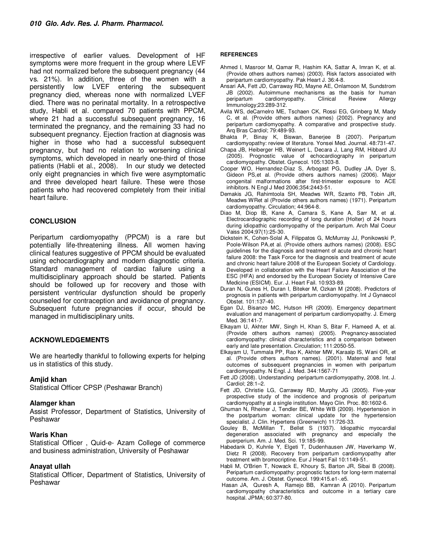irrespective of earlier values. Development of HF symptoms were more frequent in the group where LEVF had not normalized before the subsequent pregnancy (44 vs. 21%). In addition, three of the women with a persistently low LVEF entering the subsequent pregnancy died, whereas none with normalized LVEF died. There was no perinatal mortality. In a retrospective study, Habli et al. compared 70 patients with PPCM, where 21 had a successful subsequent pregnancy, 16 terminated the pregnancy, and the remaining 33 had no subsequent pregnancy. Ejection fraction at diagnosis was higher in those who had a successful subsequent pregnancy, but had no relation to worsening clinical symptoms, which developed in nearly one-third of those patients (Habli et al., 2008). In our study we detected only eight pregnancies in which five were asymptomatic and three developed heart failure. These were those patients who had recovered completely from their initial heart failure.

#### **CONCLUSION**

Peripartum cardiomyopathy (PPCM) is a rare but potentially life-threatening illness. All women having clinical features suggestive of PPCM should be evaluated using echocardiography and modern diagnostic criteria. Standard management of cardiac failure using a multidisciplinary approach should be started. Patients should be followed up for recovery and those with persistent ventricular dysfunction should be properly counseled for contraception and avoidance of pregnancy. Subsequent future pregnancies if occur, should be managed in multidisciplinary units.

#### **ACKNOWLEDGEMENTS**

We are heartedly thankful to following experts for helping us in statistics of this study.

#### **Amjid khan**

Statistical Officer CPSP (Peshawar Branch)

#### **Alamger khan**

Assist Professor, Department of Statistics, University of Peshawar

#### **Waris Khan**

Statistical Officer , Quid-e- Azam College of commerce and business administration, University of Peshawar

#### **Anayat ullah**

Statistical Officer, Department of Statistics, University of Peshawar

#### **REFERENCES**

- Ahmed I, Masroor M, Qamar R, Hashim KA, Sattar A, Imran K, et al. (Provide others authors names) (2003). Risk factors associated with peripartum cardiomyopathy. Pak Heart J. 36:4-8.
- Ansari AA, Fett JD, Carraway RD, Mayne AE, Onlamoon M, Sundstrom JB (2002). Autoimmune mechanisms as the basis for human peripartum cardiomyopathy. Clinical Review Allergy Immunology;23:289-312.
- Avila WS, deCarnelro ME, Tschaen CK, Rossi EG, Grinberg M, Mady C, et al. (Provide others authors names) (2002). Pregnancy and peripartum cardiomyopathy. A comparative and prospective study. Arq Bras Cardiol; 79:489-93.
- Bhakta P, Binay K, Biswan, Banerjee B (2007). Peripartum cardiomyopathy: review of literature. Yonsei Med. Journal. 48:731-47.
- Chapa JB, Heiberger HB, Weinert L, Decara J, Lang RM, Hibbard JU (2005). Prognostic value of echocardiography in peripartum cardiomyopathy. Obstet. Gynecol. 105:1303-8.
- Cooper WO, Hernandez-Diaz S, Arbogast PG, Dudley JA, Dyer S, Gideon PS,et al. (Provide others authors names) (2006). Major congenital malformations after first-trimester exposure to ACE inhibitors. N Engl J Med 2006;354:2443-51.
- Demakis JG, Rahimtoola SH, Meadws WR, Szanto PB, Tobin JR, Meadws WRet al (Provide others authors names) (1971). Peripartum cardiomyopathy. Circulation; 44:964-8.
- Diao M, Diop IB, Kane A, Camara S, Kane A, Sarr M, et al. Electrocardiographic recording of long duration (Holter) of 24 hours during idiopathic cardiomyopathy of the peripartum. Arch Mal Coeur Vaiss 2004;97(1):25-30.
- Dickstein K, Cohen-Solal A, Filippatos G, McMurray JJ, Ponikowski P, Poole-Wilson PA,et al. (Provide others authors names) (2008). ESC guidelines for the diagnosis and treatment of acute and chronic heart failure 2008: the Task Force for the diagnosis and treatment of acute and chronic heart failure 2008 of the European Society of Cardiology. Developed in collaboration with the Heart Failure Association of the ESC (HFA) and endorsed by the European Society of Intensive Care Medicine (ESICM). Eur. J. Heart Fail. 10:933-89.
- Duran N, Gunes H, Duran I, Biteker M, Ozkan M (2008). Predictors of prognosis in patients with peripartum cardiomyopathy. Int J Gynaecol Obstet. 101:137-40.
- Egan DJ, Bisanzo MC, Hutson HR (2009). Emergency department evaluation and management of peripartum cardiomyopathy. J. Emerg Med. 36:141-7.
- Elkayam U, Akhter MW, Singh H, Khan S, Bitar F, Hameed A, et al. (Provide others authors names) (2005). Pregnancy-associated cardiomyopathy: clinical characteristics and a comparison between early and late presentation. Circulation; 111:2050-55.
- Elkayam U, Tummala PP, Rao K, Akhter MW, Karaalp IS, Wani OR, et al. (Provide others authors names). (2001). Maternal and fetal outcomes of subsequent pregnancies in women with peripartum cardiomyopathy. N Engl. J. Med. 344:1567-71
- Fett JD (2008). Understanding peripartum cardiomyopathy, 2008. Int. J. Cardiol; 28:1–2.
- Fett JD, Christie LG, Carraway RD, Murphy JG (2005). Five-year prospective study of the incidence and prognosis of peripartum cardiomyopathy at a single institution. Mayo Clin. Proc. 80:1602-6.
- Ghuman N, Rheiner J, Tendler BE, White WB (2009). Hypertension in the postpartum woman: clinical update for the hypertension specialist. J. Clin. Hypertens (Greenwich) 11:726-33.
- Gouley B, McMillan T, Bellet S (1937). Idiopathic myocardial degeneration associated with pregnancy and especially the puerperium. Am. J. Med. Sci. 19:185-99.
- Habedank D, Kuhnle Y, Elgeti T, Dudenhausen JW, Haverkamp W, Dietz R (2008). Recovery from peripartum cardiomyopathy after treatment with bromocriptine. Eur J Heart Fail 10:1149-51.
- Habli M, O'Brien T, Nowack E, Khoury S, Barton JR, Sibai B (2008). Peripartum cardiomyopathy: prognostic factors for long-term maternal outcome. Am. J. Obstet. Gynecol. 199:415.e1-.e5.
- Hasan JA, Quresh A, Ramejo BB, Kamran A (2010). Peripartum cardiomyopathy characteristics and outcome in a tertiary care hospital. JPMA; 60:377-80.